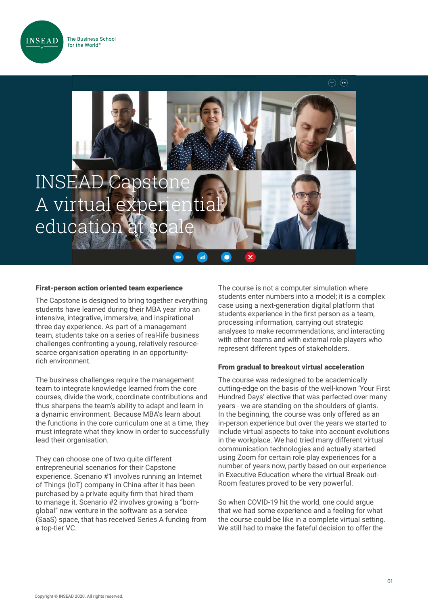



#### First-person action oriented team experience

The Capstone is designed to bring together everything students have learned during their MBA year into an intensive, integrative, immersive, and inspirational three day experience. As part of a management team, students take on a series of real-life business challenges confronting a young, relatively resourcescarce organisation operating in an opportunityrich environment.

The business challenges require the management team to integrate knowledge learned from the core courses, divide the work, coordinate contributions and thus sharpens the team's ability to adapt and learn in a dynamic environment. Because MBA's learn about the functions in the core curriculum one at a time, they must integrate what they know in order to successfully lead their organisation.

They can choose one of two quite different entrepreneurial scenarios for their Capstone experience. Scenario #1 involves running an Internet of Things (IoT) company in China after it has been purchased by a private equity firm that hired them to manage it. Scenario #2 involves growing a "bornglobal" new venture in the software as a service (SaaS) space, that has received Series A funding from a top-tier VC.

The course is not a computer simulation where students enter numbers into a model; it is a complex case using a next-generation digital platform that students experience in the first person as a team, processing information, carrying out strategic analyses to make recommendations, and interacting with other teams and with external role players who represent different types of stakeholders.

#### From gradual to breakout virtual acceleration

The course was redesigned to be academically cutting-edge on the basis of the well-known 'Your First Hundred Days' elective that was perfected over many years - we are standing on the shoulders of giants. In the beginning, the course was only offered as an in-person experience but over the years we started to include virtual aspects to take into account evolutions in the workplace. We had tried many different virtual communication technologies and actually started using Zoom for certain role play experiences for a number of years now, partly based on our experience in Executive Education where the virtual Break-out-Room features proved to be very powerful.

So when COVID-19 hit the world, one could argue that we had some experience and a feeling for what the course could be like in a complete virtual setting. We still had to make the fateful decision to offer the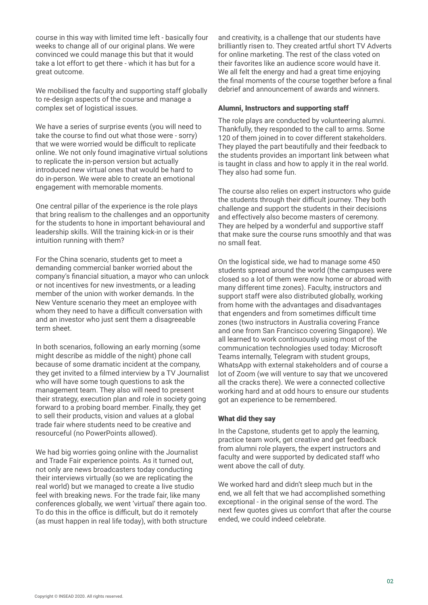course in this way with limited time left - basically four weeks to change all of our original plans. We were convinced we could manage this but that it would take a lot effort to get there - which it has but for a great outcome.

We mobilised the faculty and supporting staff globally to re-design aspects of the course and manage a complex set of logistical issues.

We have a series of surprise events (you will need to take the course to find out what those were - sorry) that we were worried would be difficult to replicate online. We not only found imaginative virtual solutions to replicate the in-person version but actually introduced new virtual ones that would be hard to do in-person. We were able to create an emotional engagement with memorable moments.

One central pillar of the experience is the role plays that bring realism to the challenges and an opportunity for the students to hone in important behavioural and leadership skills. Will the training kick-in or is their intuition running with them?

For the China scenario, students get to meet a demanding commercial banker worried about the company's financial situation, a mayor who can unlock or not incentives for new investments, or a leading member of the union with worker demands. In the New Venture scenario they meet an employee with whom they need to have a difficult conversation with and an investor who just sent them a disagreeable term sheet.

In both scenarios, following an early morning (some might describe as middle of the night) phone call because of some dramatic incident at the company, they get invited to a filmed interview by a TV Journalist who will have some tough questions to ask the management team. They also will need to present their strategy, execution plan and role in society going forward to a probing board member. Finally, they get to sell their products, vision and values at a global trade fair where students need to be creative and resourceful (no PowerPoints allowed).

We had big worries going online with the Journalist and Trade Fair experience points. As it turned out, not only are news broadcasters today conducting their interviews virtually (so we are replicating the real world) but we managed to create a live studio feel with breaking news. For the trade fair, like many conferences globally, we went 'virtual' there again too. To do this in the office is difficult, but do it remotely (as must happen in real life today), with both structure and creativity, is a challenge that our students have brilliantly risen to. They created artful short TV Adverts for online marketing. The rest of the class voted on their favorites like an audience score would have it. We all felt the energy and had a great time enjoying the final moments of the course together before a final debrief and announcement of awards and winners.

# Alumni, Instructors and supporting staff

The role plays are conducted by volunteering alumni. Thankfully, they responded to the call to arms. Some 120 of them joined in to cover different stakeholders. They played the part beautifully and their feedback to the students provides an important link between what is taught in class and how to apply it in the real world. They also had some fun.

The course also relies on expert instructors who guide the students through their difficult journey. They both challenge and support the students in their decisions and effectively also become masters of ceremony. They are helped by a wonderful and supportive staff that make sure the course runs smoothly and that was no small feat.

On the logistical side, we had to manage some 450 students spread around the world (the campuses were closed so a lot of them were now home or abroad with many different time zones). Faculty, instructors and support staff were also distributed globally, working from home with the advantages and disadvantages that engenders and from sometimes difficult time zones (two instructors in Australia covering France and one from San Francisco covering Singapore). We all learned to work continuously using most of the communication technologies used today: Microsoft Teams internally, Telegram with student groups, WhatsApp with external stakeholders and of course a lot of Zoom (we will venture to say that we uncovered all the cracks there). We were a connected collective working hard and at odd hours to ensure our students got an experience to be remembered.

# What did they say

In the Capstone, students get to apply the learning, practice team work, get creative and get feedback from alumni role players, the expert instructors and faculty and were supported by dedicated staff who went above the call of duty.

We worked hard and didn't sleep much but in the end, we all felt that we had accomplished something exceptional - in the original sense of the word. The next few quotes gives us comfort that after the course ended, we could indeed celebrate.